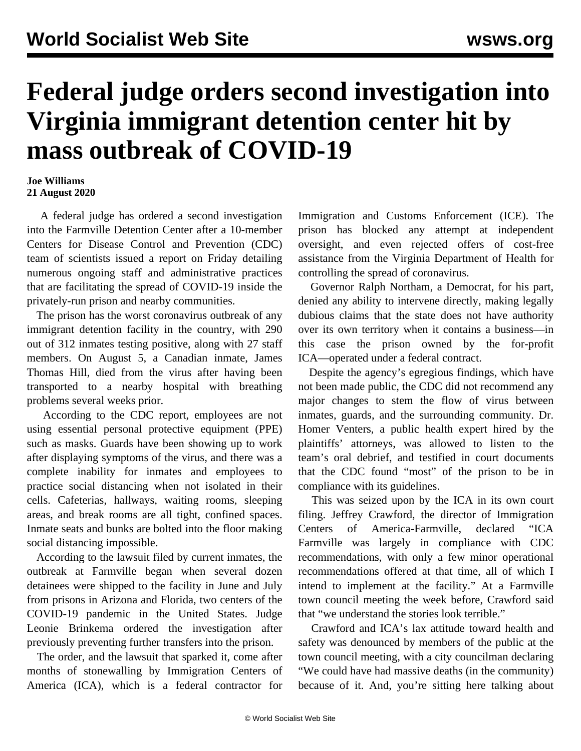## **Federal judge orders second investigation into Virginia immigrant detention center hit by mass outbreak of COVID-19**

## **Joe Williams 21 August 2020**

 A federal judge has ordered a second investigation into the Farmville Detention Center after a 10-member Centers for Disease Control and Prevention (CDC) team of scientists issued a report on Friday detailing numerous ongoing staff and administrative practices that are facilitating the spread of COVID-19 inside the privately-run prison and nearby communities.

 The prison has the [worst coronavirus outbreak](/en/articles/2020/08/01/immi-a01.html) of any immigrant detention facility in the country, with 290 out of 312 inmates testing positive, along with 27 staff members. On August 5, a Canadian inmate, James Thomas Hill, died from the virus after having been transported to a nearby hospital with breathing problems several weeks prior.

 According to the CDC report, employees are not using essential personal protective equipment (PPE) such as masks. Guards have been showing up to work after displaying symptoms of the virus, and there was a complete inability for inmates and employees to practice social distancing when not isolated in their cells. Cafeterias, hallways, waiting rooms, sleeping areas, and break rooms are all tight, confined spaces. Inmate seats and bunks are bolted into the floor making social distancing impossible.

 According to the lawsuit filed by current inmates, the outbreak at Farmville began when several dozen detainees were shipped to the facility in June and July from prisons in Arizona and Florida, two centers of the COVID-19 pandemic in the United States. Judge Leonie Brinkema ordered the investigation after previously preventing further transfers into the prison.

 The order, and the lawsuit that sparked it, come after months of stonewalling by Immigration Centers of America (ICA), which is a federal contractor for Immigration and Customs Enforcement (ICE). The prison has blocked any attempt at independent oversight, and even rejected offers of cost-free assistance from the Virginia Department of Health for controlling the spread of coronavirus.

 Governor Ralph Northam, a Democrat, for his part, denied any ability to intervene directly, making legally dubious claims that the state does not have authority over its own territory when it contains a business—in this case the prison owned by the for-profit ICA—operated under a federal contract.

 Despite the agency's egregious findings, which have not been made public, the CDC did not recommend any major changes to stem the flow of virus between inmates, guards, and the surrounding community. Dr. Homer Venters, a public health expert hired by the plaintiffs' attorneys, was allowed to listen to the team's oral debrief, and testified in court documents that the CDC found "most" of the prison to be in compliance with its guidelines.

 This was seized upon by the ICA in its own court filing. Jeffrey Crawford, the director of Immigration Centers of America-Farmville, declared "ICA Farmville was largely in compliance with CDC recommendations, with only a few minor operational recommendations offered at that time, all of which I intend to implement at the facility." At a Farmville town council meeting the week before, Crawford said that "we understand the stories look terrible."

 Crawford and ICA's lax attitude toward health and safety was denounced by members of the public at the town council meeting, with a city councilman declaring "We could have had massive deaths (in the community) because of it. And, you're sitting here talking about